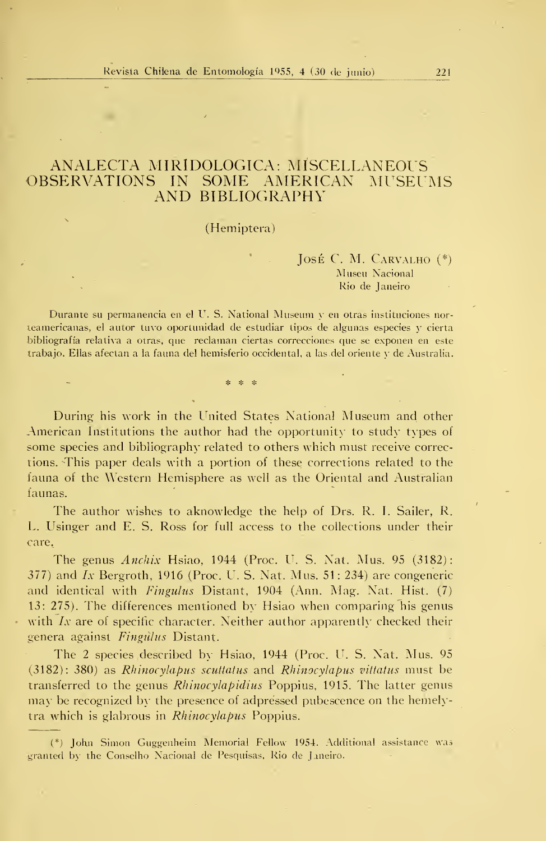## ANALECTA MIRIDOLOGICA: MISCELLANEOUS<br>OBSERVATIONS IN SOME AMERICAN MUSEU AMERICAN MUSEUMS AND BIBLIOGRAPHY

## (Hemiptera)

## José C. M. CARVALHO  $(*)$ Musen Nacional Rio de Janeiro

Durante su permanencia en el U. S. National Museum y en otras instituciones nor teamericanas, el autor tuvo oportunidad de estudiar tipos de algunas especies y cierta bibliografía relativa a otras, que reclaman ciertas correcciones que se exponen en este trabajo. Ellas afectan a la fauna del hemisferio occidental, a las del oriente y de Australia.

\* \* \*

During his work in the United States National Museum and other American Institutions the author had the opportunity to study types of some species and bibliography related to others which must receive corrections. This paper deals with a portion of these corrections related to the fauna of the Western Hemisphere as well as the Oriental and Australian faunas.

The author wishes to aknowledge the help of Drs. R. I. Sailer, R. L. Usinger and E. S. Ross for full access to the collections under their care.

The genus  $\text{Anchix Hsiao}, 1944$  (Proc. U. S. Nat. Mus. 95 (3182): 377) and Ix Bergroth, 1916 (Proc. U. S. Nat. Mus. 51: 234) are congeneric and identical with *Fingulus* Distant, 1904 (Ann. Mag. Nat. Hist. (7) 13: 275). The differences mentioned by Hsiao when comparing his genus with  $Ix$  are of specific character. Neither author apparently checked their genera against Fingulus Distant.

The <sup>2</sup> species described by Hsiao, 1944 (Proc. U. S. Nat. Mus. 95 (3182): 380) as Rhinocylapus scuttatus and Rhinocylapus vitfatus must be transferred to the genus *Rhinocylapidius* Poppius, 1915. The latter genus may be recognized by the presence of adpressed pubescence on the hemelytra which is glabrous in Rhinocylapus Poppius.

(\*) John Simón Guggenheim Memorial Fellow 1954. Additional assistance was granted by the Conselho Nacional de Pesquisas, Rio de Janeiro.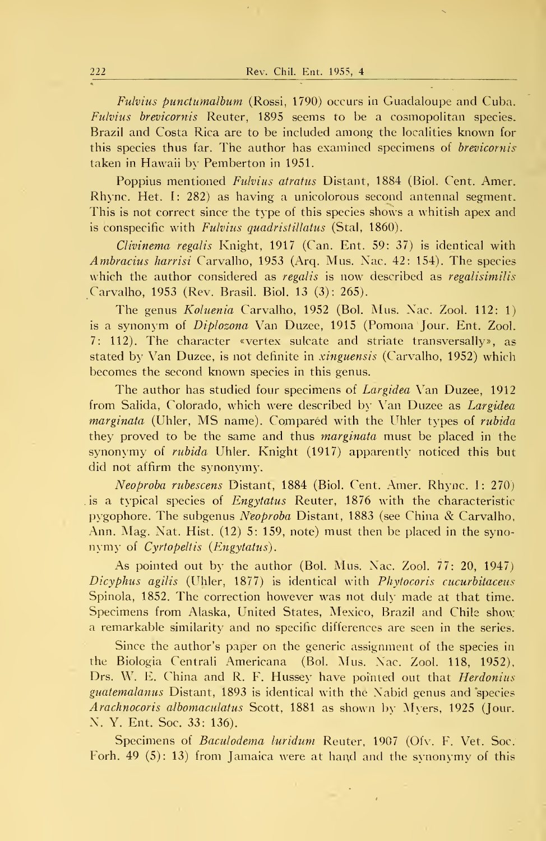Fulvius punctumalbum (Rossi, 1790) occurs in Guadaloupe and Cuba. Fulvius brevicornis Reuter, 1895 seems to be a cosmopolitan species. Brazil and Costa Rica are to be included among the localities known for this species thus far. The author has examined specimens of brevicornis taken in Hawaii by Pemberton in 1951.

Poppius mentioned Fulvius atratus Distant, 1884 (Biol. Cent. Amer. Rhync. Het. 1: 282) as having a unicolorous second antennal segment. This is not correct since the type of this species shows a whitish apex and is conspecific with Fulvius quadristillatus (Stal, 1860).

Clivinema regalis Knight, 1917 (Can. Ent. 59: 37) is identical with Ambracius harrisi Carvalho, 1953 (Arq. Mus. Nac. 42: 154). The species which the author considered as *regalis* is now described as *regalisimilis* Carvalho, 1953 (Rev. Brasil. Biol. 13 (3): 265).

The genus Koluenia Carvalho, 1952 (Bol. Mus. Nac. Zool. 112: 1) is a synonym of *Diplozona* Van Duzee, 1915 (Pomona Jour. Ent. Zool. 7: 112). The character «vértex sulcate and striate transversally», as stated by Van Duzee, is not definite in xinguensis (Carvalho, 1952) which becomes the second known species in this genus.

The author has studied four specimens of Largidea Van Duzee, 1912 from Salida, Colorado, which were described by Van Duzee as Largidea marginata (Uhler, MS name). Compared with the Uhler types of rubida they proved to be the same and thus *marginata* must be placed in the synonymy of *rubida* Uhler. Knight (1917) apparently noticed this but did not affirm the synonymy.

Neoproba rubescens Distant, 1884 (Biol. Cent. Amer. Rhync. I: 270) is a typical species of *Engytatus* Reuter, 1876 with the characteristic pygophore. The subgenus Neoproba Distant, <sup>1883</sup> (see China & Carvalho, Ann. Mag. Nat. Hist. (12) 5: 159, note) must then be placed in the synonymy of Cyrtopeltis (Engytatus).

As pointed out by the author (Bol. Mus. Nac. Zool. 77: 20, 1947) Dicyphus agilis (Uhler, 1877) is identical with Phytocoris cucurbitaceus Spinola, 1852. The correction however was not duly made at that time. Specimens from Alaska, United States, México, Brazil and Chile show a remarkable similarity and no specific differences are seen in the series.

Since the author's paper on the generic assignment of the species in the Biología Centrali Americana (Bol. Mus. Nac. Zool. 118, 1952), Drs. W. E. China and R. F. Hussey have pointed out that *Herdonius* guatemalanus Distant, 1893 is identical with the Nabid genus and species Arachnocoris albomaculatus Scott, 1881 as shown by Myers, 1925 (Jour. N. Y. Ent. Soc. 33: 136).

Specimens of Baculodema luridum Reuter, 1907 (Ofv. F. Vet. Soc. Forh. 49 (5): 13) from Jamaica were at hand and the synonymy of this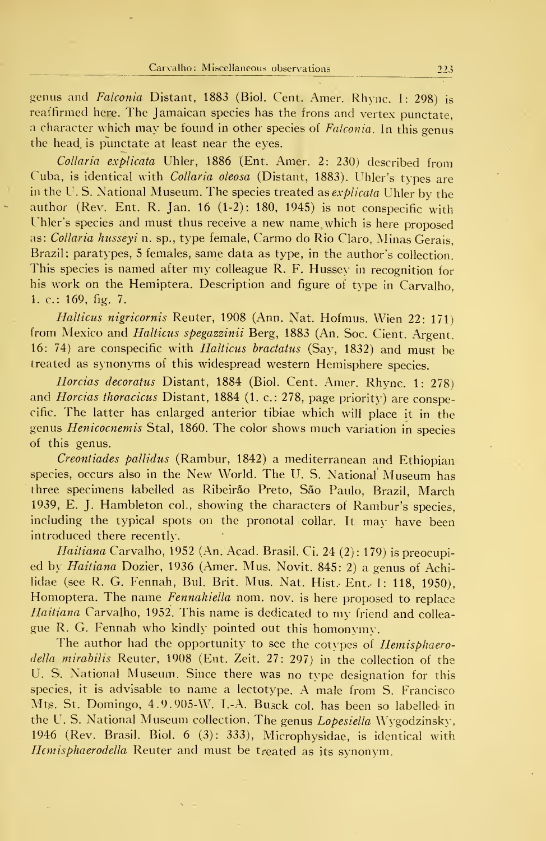genus and Falconia Distant, 1883 (Biol. Cent. Amer. Rhync. I: 298) is reaffirmed here. The Jamaican species has the frons and vertex punctate, <sup>a</sup> character which may be found in other species of Falconia. In this genus the head, is punctate at least near the eyes.

Collaria explicata Uhler, 1886 (Ent. Amer. 2: 230) described from Cuba, is identical with *Collaria oleosa* (Distant, 1883). Uhler's types are in the U.S. National Museum. The species treated as *explicata* Uhler by the author (Rev. Ent. R. Jan. 16 (1-2): 180, 1945) is not conspecific with Uhler's species and must thus receive a new name which is here proposed as: Collaria husseyi n. sp., type female, Carmo do Rio Claro, Minas Gerais, Brazil; paratypes, <sup>5</sup> females, same data as type, in the author's collection. This species is named after my colleague R. F. Hussey in recognition for his work on the Hemiptera. Description and figure of type in Carvalho, 1. c: 169, fig. 7.

Halticus nigricornis Reuter, 1908 (Ann. Nat. Hofmus. Wien 22: 171) from Mexico and Halticus spegazzinii Berg, 1883 (An. Soc. Cient. Argent. 16: 74) are conspecific with Halticus bractatus (Say, 1832) and must be treated as synonyms of this widespread western Hemisphere species.

Horcias decoratus Distant, 1884 (Biol. Cent. Amer. Rhync. 1: 278) and Horcias thoracicus Distant, 1884 (1. c.: 278, page priority) are conspecific. The latter has enlarged anterior tibiae which will place it in the genus Henicocnemis Stal, 1860. The color shows much variation in species of this genus.

Creontiades pallidus (Rambur, 1842) a mediterranean and Ethiopian species, occurs also in the New World. The U. S. National Museum has three specimens labelled as Ribeirão Preto, São Paulo, Brazil, March 1939, E. J. Hambleton col., showing the characters of Rambur's species, including the typical spots on the pronotal collar. It may have been introduced there recently.

Haitiana Carvalho, 1952 (An. Acad. Brasil. Ci. 24 (2): 179) is preocupied by Haitiana Dozier, 1936 (Amer. Mus. Novit. 845: 2) a genus of Achilidae (see R. G. Fennah, Bul. Brit. Mus. Nat. Hist. Ent. 1: 118, 1950). Homoptera. The name Fennahiella nom. nov. is here proposed to replace Haitiana Carvalho, 1952. This name is dedicated to my friend and colleague R. G. Fennah who kindly pointed out this homonvmv.

The author had the opportunity to see the cotypes of *Hemisphaero*della mirabilis Reuter, 1908 (Ent. Zeit. 27: 297) in the collection of the U. S. National Museum. Since there was no type designation for this species, it is advisable to name a lectotype. A male from S. Francisco Mts. St. Domingo, 4.9.905-W. I.-A. Busck col. has been so labelled in the U. S. National Museum collection. The genus *Lopesiella* Wygodzinsky, 1946 (Rev. Brasil. Biol. 6 (3): 333), Microphysidae, is identical with Hemisphaerodella Reuter and must be treated as its synonym.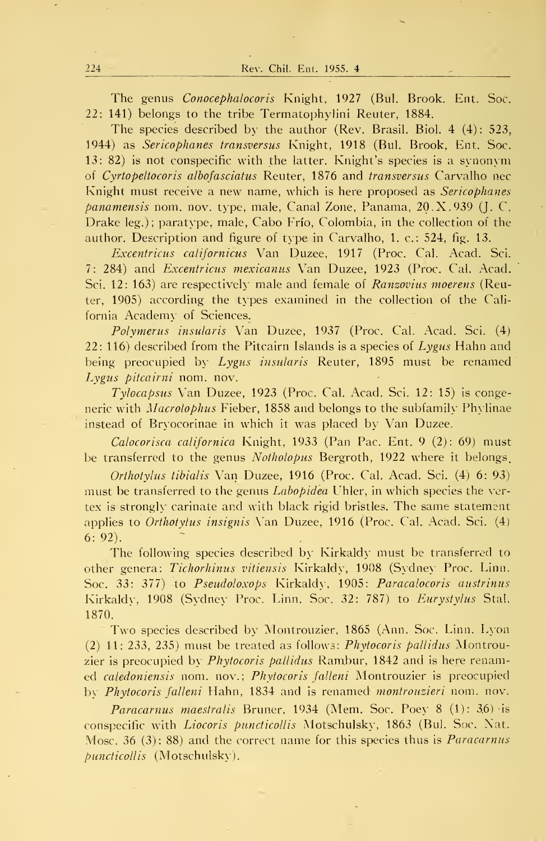The genus Conocephalocoris Knight, 1927 (Bul. Brook. Ent. Soc. 22: 141) belongs to the tribe Termatophylini Reuter, 1884.

The species described by the author (Rev. Brasil. Biol. 4 (4): 523, 1944) as Sericophanes transversus Knight, 1918 (Bul. Brook, Ent. Soc.  $13: 82$ ) is not conspecific with the latter. Knight's species is a synonym of Cyrtopeltocoris albofasciafus Reuter, 1876 and transversus Carvalho uec Knight must receive a new name, which is here proposed as Sericophanes *panamensis* nom. nov. type, male, Canal Zone, Panama,  $20 \text{ X}$ . 939 (J. C. Drake leg.) ; paratype, male, Cabo Frío, Colombia, in the collection of the author. Description and figure of type in Carvalho, 1. c: 524, fig. 13.

Excentricus californicus Van Duzee, 1917 (Proc. Cal. Acad. Sci. 7: 284) and Excentricus mexicanus Van Duzee, 1923 (Proc. Cal. Acad. Sci. 12: 163) are respectively male and female of *Ranzovius moerens* (Reuter, 1905) according the types examined in the collection of the California Academy of Sciences.

Polymerus insularis Van Duzee, 1937 (Proc. Cal. Acad. Sci. (4) 22: 116) described from the Pitcairn Islands is a species of  $Lygus$  Hahn and being preocupied by Lygus insularis Reuter, 1895 must be renamed Lygus pitcairni nom. nov.

Tylocapsus Van Duzee, 1923 (Proc. Cal. Acad. Sci. 12: 15) is congeneric with Macrolophus Fieber, 1858 and belongs to the subfamily Phylinae instead of Bryocorinae in which it was placed by Van Duzee.

Calocorisca californica Knight, 1933 (Pan Pac. Ent. 9 (2): 69) must be transferred to the genus Notholopus Bergroth, 1922 where it belongs.

Orthotylus tibialis Van Duzee, 1916 (Proc. Cal. Acad. Sci. (4) 6: 93) must be transferred to the genus *Labopidea* Uhler, in which species the vertex is strongly carínate and with black rlgid bristles. The same statement applies to Orthotyius insignis Van Duzee, 1916 (Proc. Cal. Acad. Sci. (4) 6: 92).

The following species described by Kirkaldy must be transferred to other genera: Tichorhinus vitiensis Kirkaldy, 1908 (Sydney Proc. Linn. Soc. 33: 377) to Pseudoloxops Kirkaldy, 1905: Paracalocoris austrinus Kirkaldy, 1908 (Sydney Proc. Linn. Soc. 32: 787) to *Eurystylus* Stal, 1870.

Two species described by Montrouzier, 1865 (Ann. Soc. Linn. Lyon (2) 11: 233, 235) must be treated as follows: Phytocoris pallidus Montrouzier is preocupied by *Phytocoris pallidus* Rambur, 1842 and is here renamed caledoniensis nom. nov.; Phytocoris falleni Montrouzier is preocupied by Phytocoris falleni Hahn, 1834 and is renamed montrouzieri nom. nov.

*Paracarnus maestralis Bruner, 1934 (Mem. Soc. Poev 8 (1): 36) is* conspecific with *Liocoris puncticollis* Motschulsky, 1863 (Bul. Soc. Nat. Mosc. 36 (3): 88) and the correct name for this species thus is *Paracarnus* puncticollis (Motschulsky).